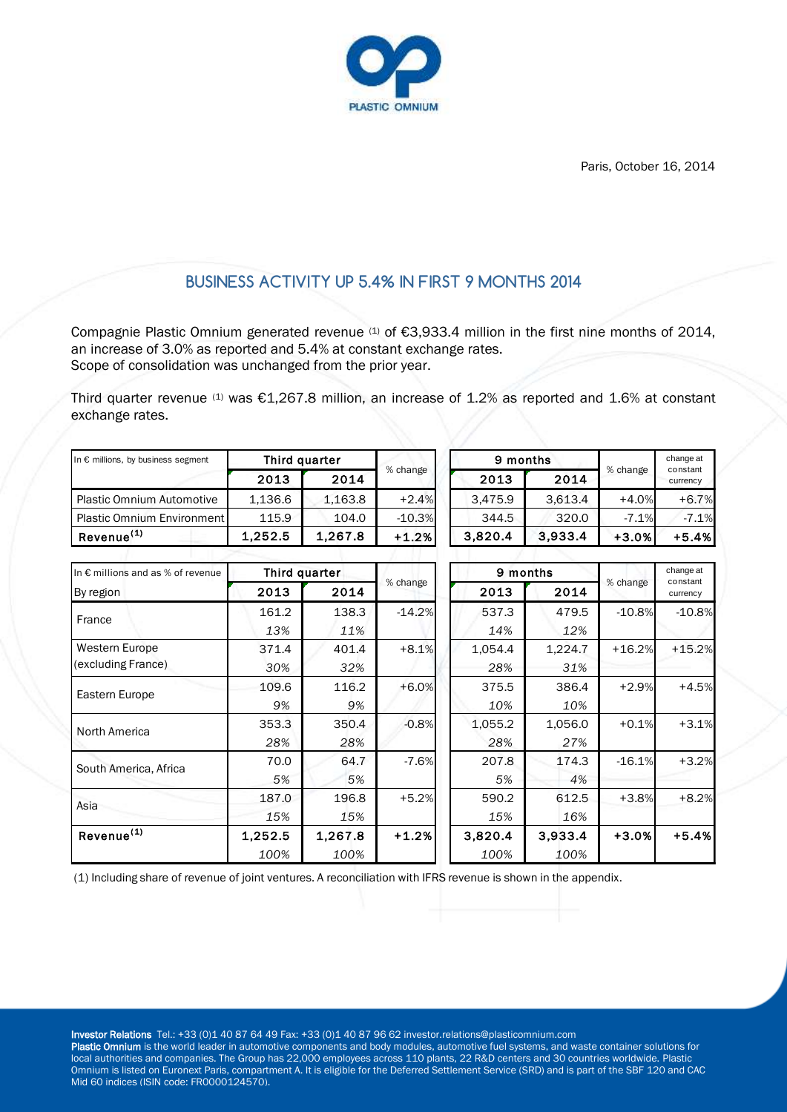

Paris, October 16, 2014

# **BUSINESS ACTIVITY UP 5.4% IN FIRST 9 MONTHS 2014**

Compagnie Plastic Omnium generated revenue <sup>(1)</sup> of €3,933.4 million in the first nine months of 2014, an increase of 3.0% as reported and 5.4% at constant exchange rates. Scope of consolidation was unchanged from the prior year.

Third quarter revenue (1) was  $£1,267.8$  million, an increase of 1.2% as reported and 1.6% at constant exchange rates.

| In $\epsilon$ millions, by business segment | Third quarter |         |          |         | 9 months |          | change at<br>constant |  |
|---------------------------------------------|---------------|---------|----------|---------|----------|----------|-----------------------|--|
|                                             | 2013          | 2014    | % change | 2013    | 2014     | % change | currency              |  |
| <b>Plastic Omnium Automotive</b>            | 1,136.6       | 1,163.8 | $+2.4%$  | 3.475.9 | 3.613.4  | $+4.0%$  | $+6.7%$               |  |
| <b>Plastic Omnium Environment</b>           | 115.9         | 104.0   | $-10.3%$ | 344.5   | 320.0    | $-7.1%$  | $-7.1%$               |  |
| Revenue <sup>(1)</sup>                      | 1.252.5       | 1.267.8 | $+1.2%$  | 3.820.4 | 3.933.4  | $+3.0%$  | $+5.4%$               |  |

| In $\epsilon$ millions and as % of revenue |         | Third quarter |          |         | 9 months |          | change at            |  |
|--------------------------------------------|---------|---------------|----------|---------|----------|----------|----------------------|--|
| By region                                  | 2013    | 2014          | % change | 2013    | 2014     | % change | constant<br>currency |  |
| France                                     | 161.2   | 138.3         | $-14.2%$ | 537.3   | 479.5    | $-10.8%$ | $-10.8%$             |  |
|                                            | 13%     | 11%           |          | 14%     | 12%      |          |                      |  |
| Western Europe                             | 371.4   | 401.4         | $+8.1%$  | 1,054.4 | 1,224.7  | $+16.2%$ | $+15.2%$             |  |
| (excluding France)                         | 30%     | 32%           |          | 28%     | 31%      |          |                      |  |
| Eastern Europe                             | 109.6   | 116.2         | $+6.0%$  | 375.5   | 386.4    | $+2.9%$  | $+4.5%$              |  |
|                                            | 9%      | 9%            |          | 10%     | 10%      |          |                      |  |
| North America                              | 353.3   | 350.4         | $-0.8%$  | 1,055.2 | 1,056.0  | $+0.1%$  | $+3.1%$              |  |
|                                            | 28%     | 28%           |          | 28%     | 27%      |          |                      |  |
| South America, Africa                      | 70.0    | 64.7          | $-7.6%$  | 207.8   | 174.3    | $-16.1%$ | $+3.2%$              |  |
|                                            | 5%      | 5%            |          | 5%      | 4%       |          |                      |  |
| Asia                                       | 187.0   | 196.8         | $+5.2%$  | 590.2   | 612.5    | $+3.8%$  | $+8.2%$              |  |
|                                            | 15%     | 15%           |          | 15%     | 16%      |          |                      |  |
| Revenue <sup>(1)</sup>                     | 1,252.5 | 1,267.8       | $+1.2%$  | 3,820.4 | 3,933.4  | $+3.0%$  | $+5.4%$              |  |
|                                            | 100%    | 100%          |          | 100%    | 100%     |          |                      |  |

(1) Including share of revenue of joint ventures. A reconciliation with IFRS revenue is shown in the appendix.

Investor Relations Tel.: +33 (0)1 40 87 64 49 Fax: +33 (0)1 40 87 96 62 investor.relations@plasticomnium.com

Plastic Omnium is the world leader in automotive components and body modules, automotive fuel systems, and waste container solutions for local authorities and companies. The Group has 22,000 employees across 110 plants, 22 R&D centers and 30 countries worldwide. Plastic Omnium is listed on Euronext Paris, compartment A. It is eligible for the Deferred Settlement Service (SRD) and is part of the SBF 120 and CAC Mid 60 indices (ISIN code: FR0000124570).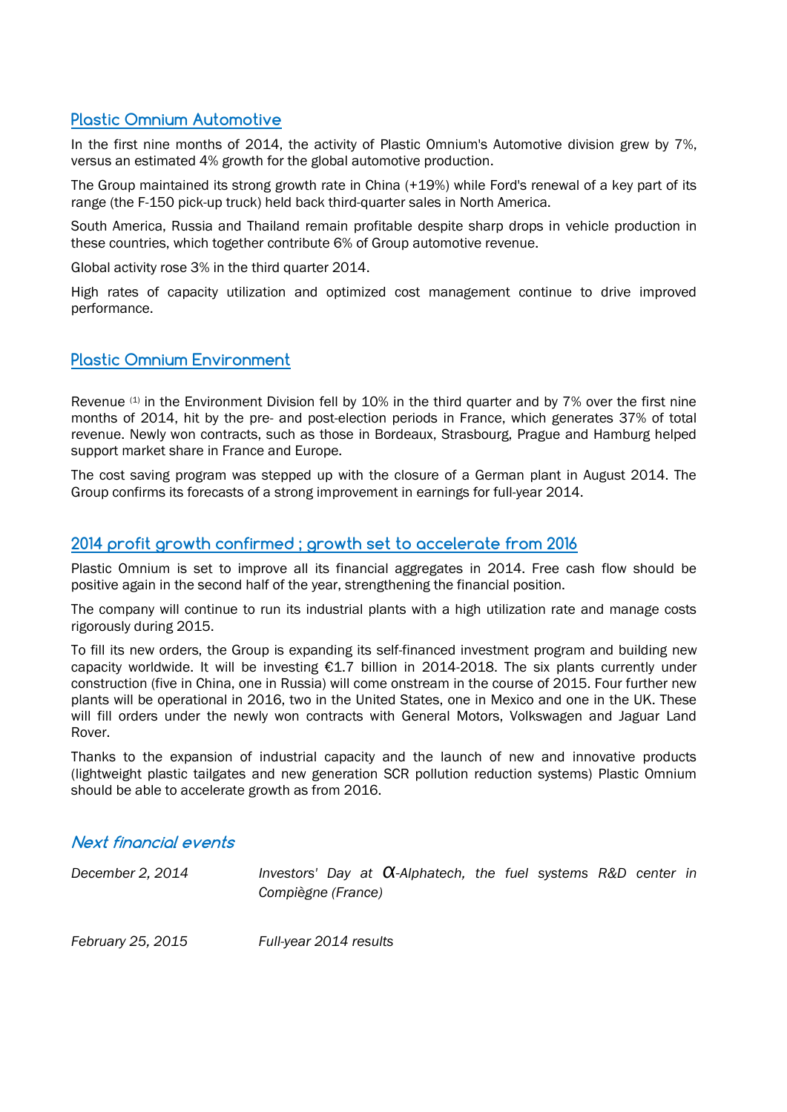## **Plastic Omnium Automotive**

In the first nine months of 2014, the activity of Plastic Omnium's Automotive division grew by 7%, versus an estimated 4% growth for the global automotive production.

The Group maintained its strong growth rate in China (+19%) while Ford's renewal of a key part of its range (the F-150 pick-up truck) held back third-quarter sales in North America.

South America, Russia and Thailand remain profitable despite sharp drops in vehicle production in these countries, which together contribute 6% of Group automotive revenue.

Global activity rose 3% in the third quarter 2014.

High rates of capacity utilization and optimized cost management continue to drive improved performance.

#### **Plastic Omnium Environment**

Revenue (1) in the Environment Division fell by 10% in the third quarter and by 7% over the first nine months of 2014, hit by the pre- and post-election periods in France, which generates 37% of total revenue. Newly won contracts, such as those in Bordeaux, Strasbourg, Prague and Hamburg helped support market share in France and Europe.

The cost saving program was stepped up with the closure of a German plant in August 2014. The Group confirms its forecasts of a strong improvement in earnings for full-year 2014.

### **2014 profit growth confirmed ; growth set to accelerate from 2016**

Plastic Omnium is set to improve all its financial aggregates in 2014. Free cash flow should be positive again in the second half of the year, strengthening the financial position.

The company will continue to run its industrial plants with a high utilization rate and manage costs rigorously during 2015.

To fill its new orders, the Group is expanding its self-financed investment program and building new capacity worldwide. It will be investing  $\epsilon$ 1.7 billion in 2014-2018. The six plants currently under construction (five in China, one in Russia) will come onstream in the course of 2015. Four further new plants will be operational in 2016, two in the United States, one in Mexico and one in the UK. These will fill orders under the newly won contracts with General Motors, Volkswagen and Jaguar Land Rover.

Thanks to the expansion of industrial capacity and the launch of new and innovative products (lightweight plastic tailgates and new generation SCR pollution reduction systems) Plastic Omnium should be able to accelerate growth as from 2016.

#### **Next financial events**

*December 2, 2014 Investors' Day at α-Alphatech, the fuel systems R&D center in Compiègne (France)*

*February 25, 2015 Full-year 2014 results*